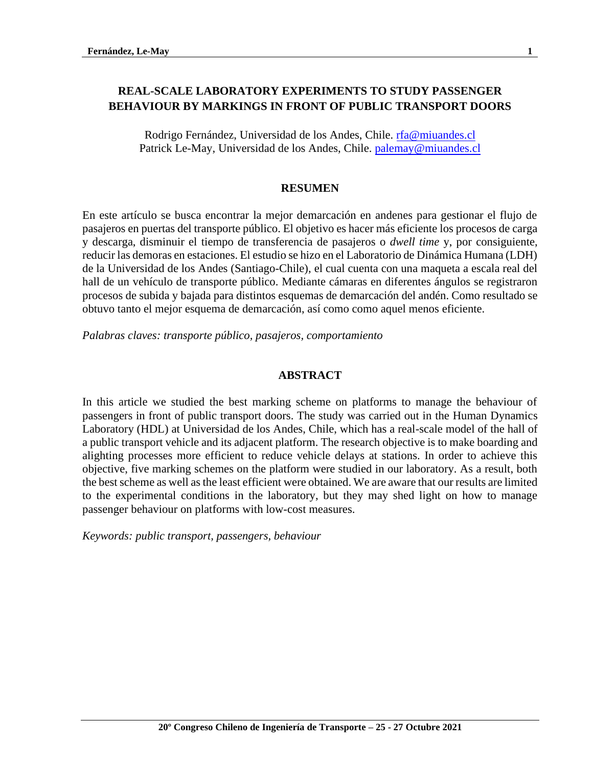# **REAL-SCALE LABORATORY EXPERIMENTS TO STUDY PASSENGER BEHAVIOUR BY MARKINGS IN FRONT OF PUBLIC TRANSPORT DOORS**

Rodrigo Fernández, Universidad de los Andes, Chile. [rfa@miuandes.cl](mailto:rfa@miuandes.cl) Patrick Le-May, Universidad de los Andes, Chile. [palemay@miuandes.cl](mailto:palemay@miuandes.cl)

#### **RESUMEN**

En este artículo se busca encontrar la mejor demarcación en andenes para gestionar el flujo de pasajeros en puertas del transporte público. El objetivo es hacer más eficiente los procesos de carga y descarga, disminuir el tiempo de transferencia de pasajeros o *dwell time* y, por consiguiente, reducir las demoras en estaciones. El estudio se hizo en el Laboratorio de Dinámica Humana (LDH) de la Universidad de los Andes (Santiago-Chile), el cual cuenta con una maqueta a escala real del hall de un vehículo de transporte público. Mediante cámaras en diferentes ángulos se registraron procesos de subida y bajada para distintos esquemas de demarcación del andén. Como resultado se obtuvo tanto el mejor esquema de demarcación, así como como aquel menos eficiente.

*Palabras claves: transporte público, pasajeros, comportamiento* 

#### **ABSTRACT**

In this article we studied the best marking scheme on platforms to manage the behaviour of passengers in front of public transport doors. The study was carried out in the Human Dynamics Laboratory (HDL) at Universidad de los Andes, Chile, which has a real-scale model of the hall of a public transport vehicle and its adjacent platform. The research objective is to make boarding and alighting processes more efficient to reduce vehicle delays at stations. In order to achieve this objective, five marking schemes on the platform were studied in our laboratory. As a result, both the best scheme as well as the least efficient were obtained. We are aware that our results are limited to the experimental conditions in the laboratory, but they may shed light on how to manage passenger behaviour on platforms with low-cost measures.

*Keywords: public transport, passengers, behaviour*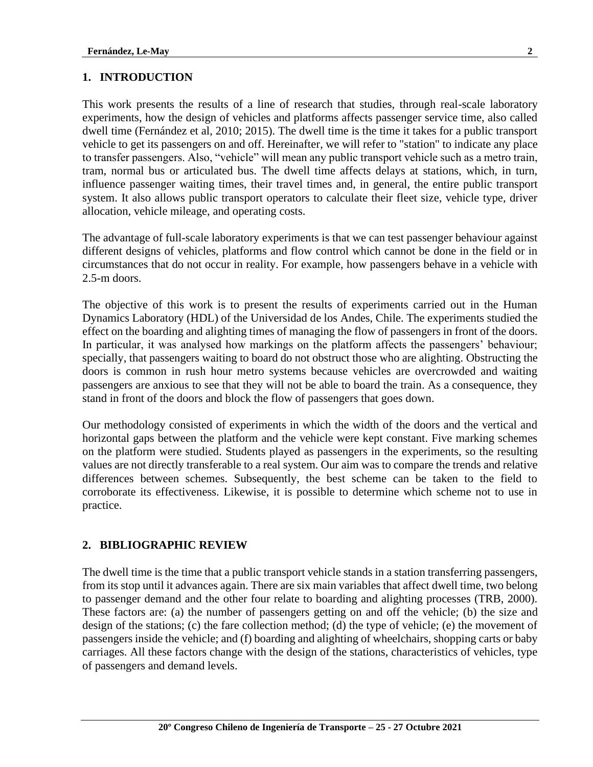## **1. INTRODUCTION**

This work presents the results of a line of research that studies, through real-scale laboratory experiments, how the design of vehicles and platforms affects passenger service time, also called dwell time (Fernández et al, 2010; 2015). The dwell time is the time it takes for a public transport vehicle to get its passengers on and off. Hereinafter, we will refer to "station" to indicate any place to transfer passengers. Also, "vehicle" will mean any public transport vehicle such as a metro train, tram, normal bus or articulated bus. The dwell time affects delays at stations, which, in turn, influence passenger waiting times, their travel times and, in general, the entire public transport system. It also allows public transport operators to calculate their fleet size, vehicle type, driver allocation, vehicle mileage, and operating costs.

The advantage of full-scale laboratory experiments is that we can test passenger behaviour against different designs of vehicles, platforms and flow control which cannot be done in the field or in circumstances that do not occur in reality. For example, how passengers behave in a vehicle with 2.5-m doors.

The objective of this work is to present the results of experiments carried out in the Human Dynamics Laboratory (HDL) of the Universidad de los Andes, Chile. The experiments studied the effect on the boarding and alighting times of managing the flow of passengers in front of the doors. In particular, it was analysed how markings on the platform affects the passengers' behaviour; specially, that passengers waiting to board do not obstruct those who are alighting. Obstructing the doors is common in rush hour metro systems because vehicles are overcrowded and waiting passengers are anxious to see that they will not be able to board the train. As a consequence, they stand in front of the doors and block the flow of passengers that goes down.

Our methodology consisted of experiments in which the width of the doors and the vertical and horizontal gaps between the platform and the vehicle were kept constant. Five marking schemes on the platform were studied. Students played as passengers in the experiments, so the resulting values are not directly transferable to a real system. Our aim was to compare the trends and relative differences between schemes. Subsequently, the best scheme can be taken to the field to corroborate its effectiveness. Likewise, it is possible to determine which scheme not to use in practice.

## **2. BIBLIOGRAPHIC REVIEW**

The dwell time is the time that a public transport vehicle stands in a station transferring passengers, from its stop until it advances again. There are six main variables that affect dwell time, two belong to passenger demand and the other four relate to boarding and alighting processes (TRB, 2000). These factors are: (a) the number of passengers getting on and off the vehicle; (b) the size and design of the stations; (c) the fare collection method; (d) the type of vehicle; (e) the movement of passengers inside the vehicle; and (f) boarding and alighting of wheelchairs, shopping carts or baby carriages. All these factors change with the design of the stations, characteristics of vehicles, type of passengers and demand levels.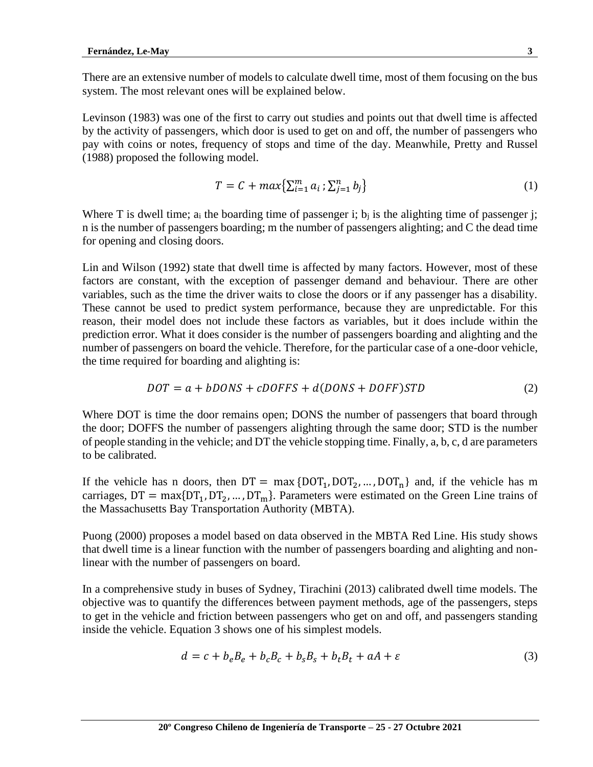There are an extensive number of models to calculate dwell time, most of them focusing on the bus system. The most relevant ones will be explained below.

Levinson (1983) was one of the first to carry out studies and points out that dwell time is affected by the activity of passengers, which door is used to get on and off, the number of passengers who pay with coins or notes, frequency of stops and time of the day. Meanwhile, Pretty and Russel (1988) proposed the following model.

$$
T = C + \max\{\sum_{i=1}^{m} a_i : \sum_{j=1}^{n} b_j\}
$$
 (1)

Where T is dwell time;  $a_i$  the boarding time of passenger i;  $b_i$  is the alighting time of passenger j; n is the number of passengers boarding; m the number of passengers alighting; and C the dead time for opening and closing doors.

Lin and Wilson (1992) state that dwell time is affected by many factors. However, most of these factors are constant, with the exception of passenger demand and behaviour. There are other variables, such as the time the driver waits to close the doors or if any passenger has a disability. These cannot be used to predict system performance, because they are unpredictable. For this reason, their model does not include these factors as variables, but it does include within the prediction error. What it does consider is the number of passengers boarding and alighting and the number of passengers on board the vehicle. Therefore, for the particular case of a one-door vehicle, the time required for boarding and alighting is:

$$
DOT = a + bDONS + cDOFFS + d(DONS + DOFF)STD
$$
\n(2)

Where DOT is time the door remains open; DONS the number of passengers that board through the door; DOFFS the number of passengers alighting through the same door; STD is the number of people standing in the vehicle; and DT the vehicle stopping time. Finally, a, b, c, d are parameters to be calibrated.

If the vehicle has n doors, then  $DT = \max \{DOT_1, DOT_2, ..., DOT_n\}$  and, if the vehicle has m carriages,  $DT = max\{DT_1, DT_2, ..., DT_m\}$ . Parameters were estimated on the Green Line trains of the Massachusetts Bay Transportation Authority (MBTA).

Puong (2000) proposes a model based on data observed in the MBTA Red Line. His study shows that dwell time is a linear function with the number of passengers boarding and alighting and nonlinear with the number of passengers on board.

In a comprehensive study in buses of Sydney, Tirachini (2013) calibrated dwell time models. The objective was to quantify the differences between payment methods, age of the passengers, steps to get in the vehicle and friction between passengers who get on and off, and passengers standing inside the vehicle. Equation 3 shows one of his simplest models.

$$
d = c + b_e B_e + b_c B_c + b_s B_s + b_t B_t + aA + \varepsilon
$$
\n(3)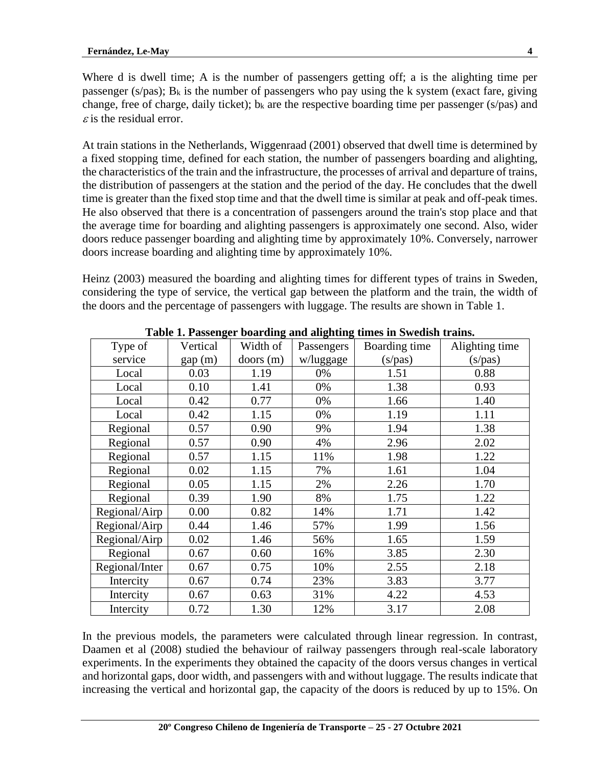Where d is dwell time; A is the number of passengers getting off; a is the alighting time per passenger (s/pas);  $B_k$  is the number of passengers who pay using the k system (exact fare, giving change, free of charge, daily ticket);  $b_k$  are the respective boarding time per passenger (s/pas) and  $\epsilon$  is the residual error.

At train stations in the Netherlands, Wiggenraad (2001) observed that dwell time is determined by a fixed stopping time, defined for each station, the number of passengers boarding and alighting, the characteristics of the train and the infrastructure, the processes of arrival and departure of trains, the distribution of passengers at the station and the period of the day. He concludes that the dwell time is greater than the fixed stop time and that the dwell time is similar at peak and off-peak times. He also observed that there is a concentration of passengers around the train's stop place and that the average time for boarding and alighting passengers is approximately one second. Also, wider doors reduce passenger boarding and alighting time by approximately 10%. Conversely, narrower doors increase boarding and alighting time by approximately 10%.

Heinz (2003) measured the boarding and alighting times for different types of trains in Sweden, considering the type of service, the vertical gap between the platform and the train, the width of the doors and the percentage of passengers with luggage. The results are shown in Table 1.

|                | raoic rerassuiger boaraing and anghung units in Dweash trans. |          |            |               |                |  |  |  |
|----------------|---------------------------------------------------------------|----------|------------|---------------|----------------|--|--|--|
| Type of        | Vertical                                                      | Width of | Passengers | Boarding time | Alighting time |  |  |  |
| service        | gap(m)                                                        | doors(m) | w/luggage  | (s/pas)       | (s/pas)        |  |  |  |
| Local          | 0.03                                                          | 1.19     | 0%         | 1.51          | 0.88           |  |  |  |
| Local          | 0.10                                                          | 1.41     | 0%         | 1.38          | 0.93           |  |  |  |
| Local          | 0.42                                                          | 0.77     | 0%         | 1.66          | 1.40           |  |  |  |
| Local          | 0.42                                                          | 1.15     | 0%         | 1.19          | 1.11           |  |  |  |
| Regional       | 0.57                                                          | 0.90     | 9%         | 1.94          | 1.38           |  |  |  |
| Regional       | 0.57                                                          | 0.90     | 4%         | 2.96          | 2.02           |  |  |  |
| Regional       | 0.57                                                          | 1.15     | 11%        | 1.98          | 1.22           |  |  |  |
| Regional       | 0.02                                                          | 1.15     | 7%         | 1.61          | 1.04           |  |  |  |
| Regional       | 0.05                                                          | 1.15     | 2%         | 2.26          | 1.70           |  |  |  |
| Regional       | 0.39                                                          | 1.90     | 8%         | 1.75          | 1.22           |  |  |  |
| Regional/Airp  | 0.00                                                          | 0.82     | 14%        | 1.71          | 1.42           |  |  |  |
| Regional/Airp  | 0.44                                                          | 1.46     | 57%        | 1.99          | 1.56           |  |  |  |
| Regional/Airp  | 0.02                                                          | 1.46     | 56%        | 1.65          | 1.59           |  |  |  |
| Regional       | 0.67                                                          | 0.60     | 16%        | 3.85          | 2.30           |  |  |  |
| Regional/Inter | 0.67                                                          | 0.75     | 10%        | 2.55          | 2.18           |  |  |  |
| Intercity      | 0.67                                                          | 0.74     | 23%        | 3.83          | 3.77           |  |  |  |
| Intercity      | 0.67                                                          | 0.63     | 31%        | 4.22          | 4.53           |  |  |  |
| Intercity      | 0.72                                                          | 1.30     | 12%        | 3.17          | 2.08           |  |  |  |

**Table 1. Passenger boarding and alighting times in Swedish trains.**

In the previous models, the parameters were calculated through linear regression. In contrast, Daamen et al (2008) studied the behaviour of railway passengers through real-scale laboratory experiments. In the experiments they obtained the capacity of the doors versus changes in vertical and horizontal gaps, door width, and passengers with and without luggage. The results indicate that increasing the vertical and horizontal gap, the capacity of the doors is reduced by up to 15%. On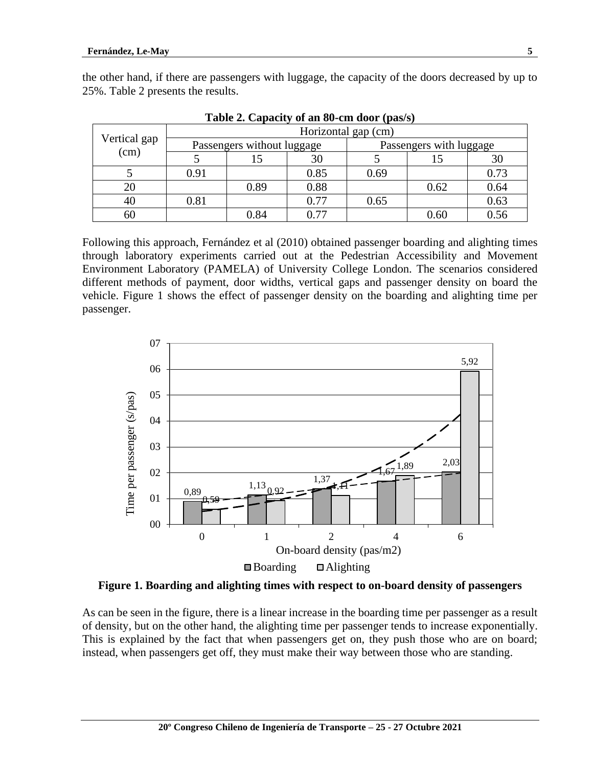| Vertical gap<br>(cm) | Horizontal gap (cm)        |      |      |      |                         |      |  |
|----------------------|----------------------------|------|------|------|-------------------------|------|--|
|                      | Passengers without luggage |      |      |      | Passengers with luggage |      |  |
|                      |                            | L5   | 30   |      |                         | 30   |  |
|                      | 0.91                       |      | 0.85 | 0.69 |                         | 0.73 |  |
| 20                   |                            | 0.89 | 0.88 |      | 0.62                    | 0.64 |  |
| 40                   | 0.81                       |      | 0.77 | 0.65 |                         | 0.63 |  |
| 60                   |                            | 0.84 | በ 77 |      | 0.60                    | 0.56 |  |

the other hand, if there are passengers with luggage, the capacity of the doors decreased by up to 25%. Table 2 presents the results.

**Table 2. Capacity of an 80-cm door (pas/s)**

Following this approach, Fernández et al (2010) obtained passenger boarding and alighting times through laboratory experiments carried out at the Pedestrian Accessibility and Movement Environment Laboratory (PAMELA) of University College London. The scenarios considered different methods of payment, door widths, vertical gaps and passenger density on board the vehicle. Figure 1 shows the effect of passenger density on the boarding and alighting time per passenger.



**Figure 1. Boarding and alighting times with respect to on-board density of passengers**

As can be seen in the figure, there is a linear increase in the boarding time per passenger as a result of density, but on the other hand, the alighting time per passenger tends to increase exponentially. This is explained by the fact that when passengers get on, they push those who are on board; instead, when passengers get off, they must make their way between those who are standing.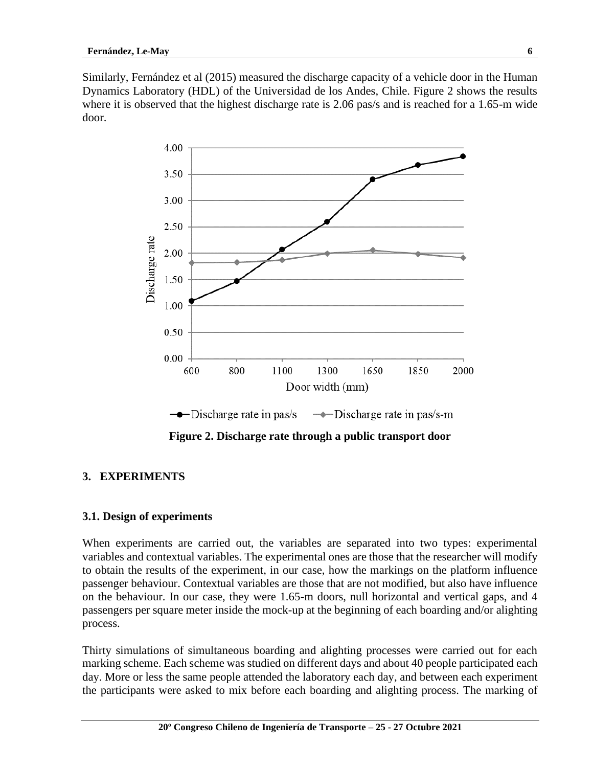Similarly, Fernández et al (2015) measured the discharge capacity of a vehicle door in the Human Dynamics Laboratory (HDL) of the Universidad de los Andes, Chile. Figure 2 shows the results where it is observed that the highest discharge rate is 2.06 pas/s and is reached for a 1.65-m wide door.



**Figure 2. Discharge rate through a public transport door**

## **3. EXPERIMENTS**

### **3.1. Design of experiments**

When experiments are carried out, the variables are separated into two types: experimental variables and contextual variables. The experimental ones are those that the researcher will modify to obtain the results of the experiment, in our case, how the markings on the platform influence passenger behaviour. Contextual variables are those that are not modified, but also have influence on the behaviour. In our case, they were 1.65-m doors, null horizontal and vertical gaps, and 4 passengers per square meter inside the mock-up at the beginning of each boarding and/or alighting process.

Thirty simulations of simultaneous boarding and alighting processes were carried out for each marking scheme. Each scheme was studied on different days and about 40 people participated each day. More or less the same people attended the laboratory each day, and between each experiment the participants were asked to mix before each boarding and alighting process. The marking of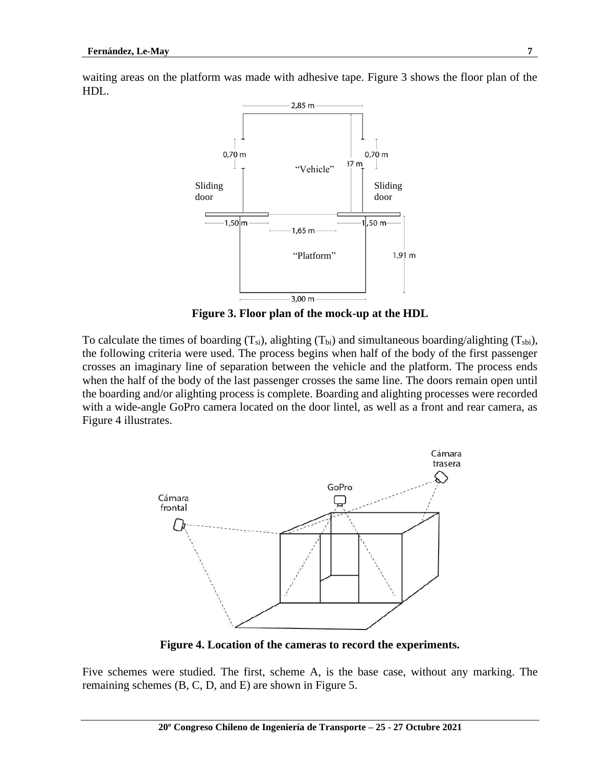



**Figure 3. Floor plan of the mock-up at the HDL**

To calculate the times of boarding  $(T_{si})$ , alighting  $(T_{bi})$  and simultaneous boarding/alighting  $(T_{sti})$ , the following criteria were used. The process begins when half of the body of the first passenger crosses an imaginary line of separation between the vehicle and the platform. The process ends when the half of the body of the last passenger crosses the same line. The doors remain open until the boarding and/or alighting process is complete. Boarding and alighting processes were recorded with a wide-angle GoPro camera located on the door lintel, as well as a front and rear camera, as Figure 4 illustrates.



**Figure 4. Location of the cameras to record the experiments.**

Five schemes were studied. The first, scheme A, is the base case, without any marking. The remaining schemes (B, C, D, and E) are shown in Figure 5.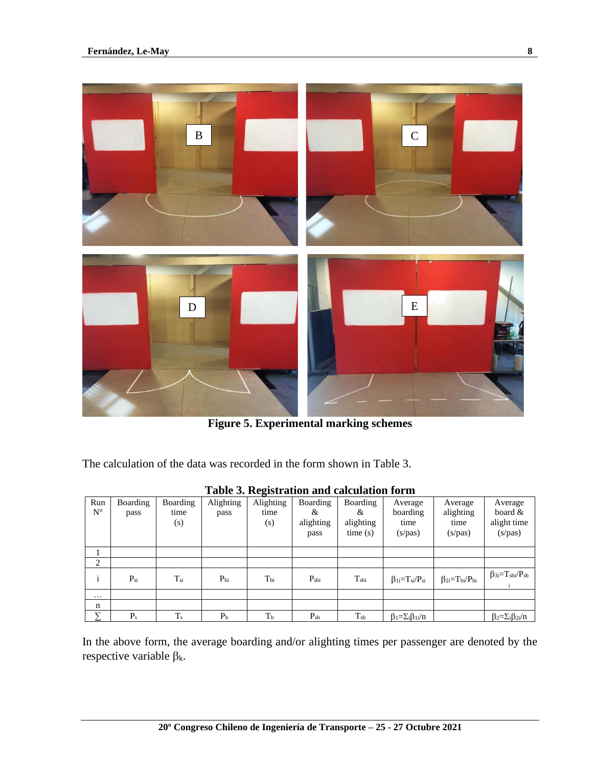

**Figure 5. Experimental marking schemes**

The calculation of the data was recorded in the form shown in Table 3.

|                    | Table 5. Registration and calculation form |                         |                   |                          |                                    |                                              |                                        |                                         |                                                 |
|--------------------|--------------------------------------------|-------------------------|-------------------|--------------------------|------------------------------------|----------------------------------------------|----------------------------------------|-----------------------------------------|-------------------------------------------------|
| Run<br>$N^{\circ}$ | Boarding<br>pass                           | Boarding<br>time<br>(s) | Alighting<br>pass | Alighting<br>time<br>(s) | Boarding<br>&<br>alighting<br>pass | <b>Boarding</b><br>&<br>alighting<br>time(s) | Average<br>boarding<br>time<br>(s/pas) | Average<br>alighting<br>time<br>(s/pas) | Average<br>board $\&$<br>alight time<br>(s/pas) |
|                    |                                            |                         |                   |                          |                                    |                                              |                                        |                                         |                                                 |
| 2                  |                                            |                         |                   |                          |                                    |                                              |                                        |                                         |                                                 |
| $\mathbf{1}$       | $P_{si}$                                   | $T_{\rm{si}}$           | $P_{bi}$          | $T_{\rm bi}$             | $P_{\rm shi}$                      | $T_{\rm shi}$                                | $\beta_{1i}=T_{si}/P_{si}$             | $\beta_{2i} = T_{bi}/P_{bi}$            | $\beta_{3i} = T_{sbi}/P_{sb}$                   |
| $\cdots$           |                                            |                         |                   |                          |                                    |                                              |                                        |                                         |                                                 |
| $\mathbf n$        |                                            |                         |                   |                          |                                    |                                              |                                        |                                         |                                                 |
| ᡪ                  | $P_{s}$                                    | $T_{s}$                 | $P_{b}$           | T <sub>b</sub>           | $P_{sb}$                           | $T_{sb}$                                     | $\beta_1 = \sum_i \beta_{1i}/n$        |                                         | $\beta_2 = \sum_i \beta_{2i}/n$                 |

**Table 3. Registration and calculation form**

In the above form, the average boarding and/or alighting times per passenger are denoted by the respective variable  $\beta_k$ .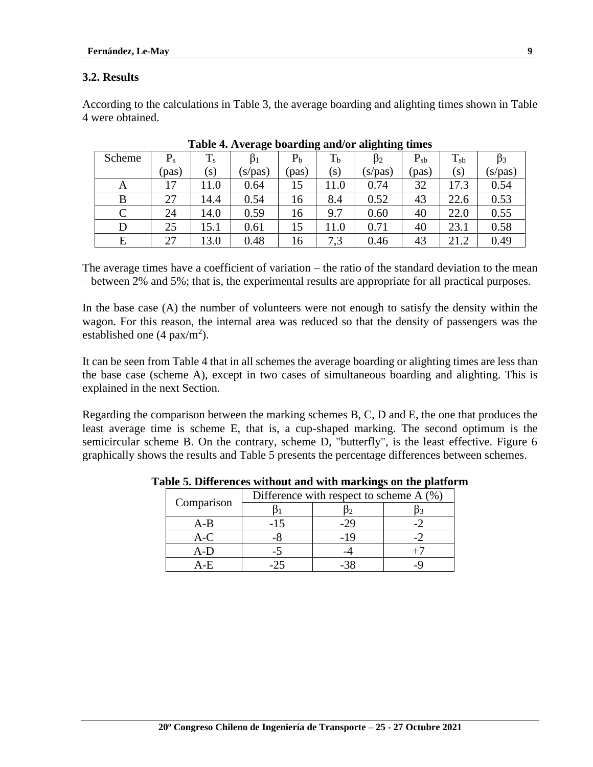### **3.2. Results**

According to the calculations in Table 3, the average boarding and alighting times shown in Table 4 were obtained.

|        |         |                   | ້         |                | . .            | <u>.</u><br>້ |          |           |                |
|--------|---------|-------------------|-----------|----------------|----------------|---------------|----------|-----------|----------------|
| Scheme | $P_{s}$ | $T_{s}$           | $\beta_1$ | P <sub>b</sub> | T <sub>b</sub> | $\beta_2$     | $P_{sb}$ | $T_{sb}$  | D <sub>3</sub> |
|        | (pas)   | $\left( S\right)$ | (s/pas)   | (pas)          | (s)            | (s/pas)       | (pas)    | $(\rm s)$ | (s/pas)        |
| A      | 17      | 11.0              | 0.64      | 15             | 11.0           | 0.74          | 32       | 17.3      | 0.54           |
| B      | 27      | 14.4              | 0.54      | 16             | 8.4            | 0.52          | 43       | 22.6      | 0.53           |
| C      | 24      | 14.0              | 0.59      | 16             | 9.7            | 0.60          | 40       | 22.0      | 0.55           |
| D      | 25      | 15.1              | 0.61      | 15             | 11.0           | 0.71          | 40       | 23.1      | 0.58           |
| E      | 27      | 13.0              | 0.48      | 16             | 7,3            | 0.46          | 43       | 21.2      | 0.49           |

|  | Table 4. Average boarding and/or alighting times |  |  |
|--|--------------------------------------------------|--|--|
|  |                                                  |  |  |

The average times have a coefficient of variation – the ratio of the standard deviation to the mean – between 2% and 5%; that is, the experimental results are appropriate for all practical purposes.

In the base case (A) the number of volunteers were not enough to satisfy the density within the wagon. For this reason, the internal area was reduced so that the density of passengers was the established one  $(4 \text{ pax/m}^2)$ .

It can be seen from Table 4 that in all schemes the average boarding or alighting times are less than the base case (scheme A), except in two cases of simultaneous boarding and alighting. This is explained in the next Section.

Regarding the comparison between the marking schemes B, C, D and E, the one that produces the least average time is scheme E, that is, a cup-shaped marking. The second optimum is the semicircular scheme B. On the contrary, scheme D, "butterfly", is the least effective. Figure 6 graphically shows the results and Table 5 presents the percentage differences between schemes.

|            | Difference with respect to scheme $A(\%)$ |     |  |  |  |
|------------|-------------------------------------------|-----|--|--|--|
| Comparison |                                           |     |  |  |  |
| A-B        |                                           |     |  |  |  |
| $A-C$      |                                           | -19 |  |  |  |
| A-D        |                                           |     |  |  |  |
|            |                                           |     |  |  |  |

**Table 5. Differences without and with markings on the platform**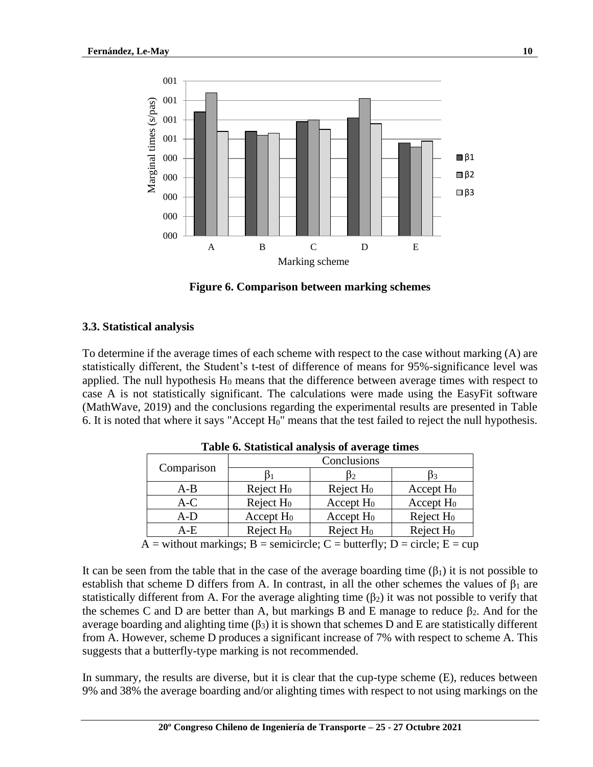

**Figure 6. Comparison between marking schemes**

### **3.3. Statistical analysis**

To determine if the average times of each scheme with respect to the case without marking (A) are statistically different, the Student's t-test of difference of means for 95%-significance level was applied. The null hypothesis  $H_0$  means that the difference between average times with respect to case A is not statistically significant. The calculations were made using the EasyFit software (MathWave, 2019) and the conclusions regarding the experimental results are presented in Table 6. It is noted that where it says "Accept  $H_0$ " means that the test failed to reject the null hypothesis.

|                                              | Conclusions  |              |              |  |  |  |
|----------------------------------------------|--------------|--------------|--------------|--|--|--|
| Comparison                                   | D2.          |              | Э3           |  |  |  |
| $A-B$                                        | Reject $H_0$ | Reject $H_0$ | Accept $H_0$ |  |  |  |
| $A-C$                                        | Reject $H_0$ | Accept $H_0$ | Accept $H_0$ |  |  |  |
| A-D                                          | Accept $H_0$ | Accept $H_0$ | Reject $H_0$ |  |  |  |
| A-E                                          | Reject $H_0$ | Reject $H_0$ | Reject $H_0$ |  |  |  |
| $\sim$ $\sim$ $\sim$<br>$\cdot$ $\cdot$<br>– |              |              |              |  |  |  |

**Table 6. Statistical analysis of average times**

 $A =$  without markings;  $B =$  semicircle;  $C =$  butterfly;  $D =$  circle;  $E =$  cup

It can be seen from the table that in the case of the average boarding time  $(\beta_1)$  it is not possible to establish that scheme D differs from A. In contrast, in all the other schemes the values of  $\beta_1$  are statistically different from A. For the average alighting time  $(\beta_2)$  it was not possible to verify that the schemes C and D are better than A, but markings B and E manage to reduce  $\beta_2$ . And for the average boarding and alighting time  $(\beta_3)$  it is shown that schemes D and E are statistically different from A. However, scheme D produces a significant increase of 7% with respect to scheme A. This suggests that a butterfly-type marking is not recommended.

In summary, the results are diverse, but it is clear that the cup-type scheme (E), reduces between 9% and 38% the average boarding and/or alighting times with respect to not using markings on the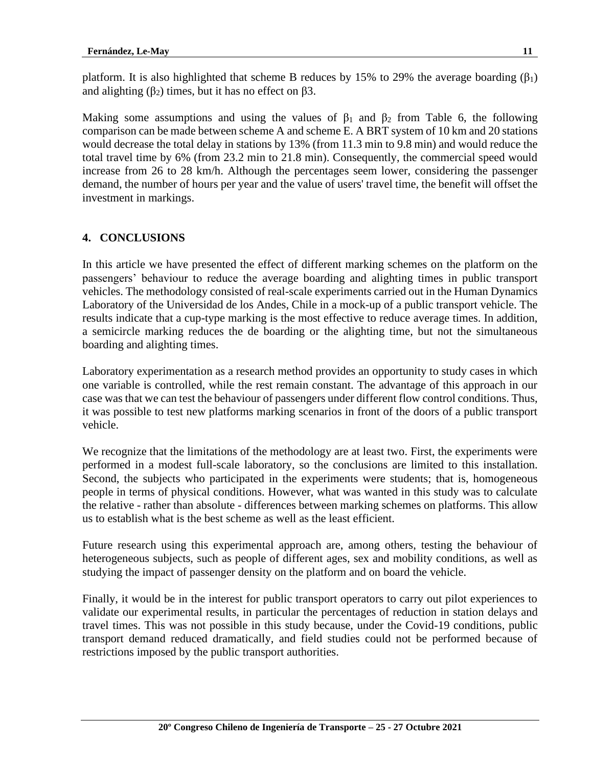platform. It is also highlighted that scheme B reduces by 15% to 29% the average boarding  $(\beta_1)$ and alighting ( $\beta_2$ ) times, but it has no effect on  $\beta$ 3.

Making some assumptions and using the values of  $\beta_1$  and  $\beta_2$  from Table 6, the following comparison can be made between scheme A and scheme E. A BRT system of 10 km and 20 stations would decrease the total delay in stations by 13% (from 11.3 min to 9.8 min) and would reduce the total travel time by 6% (from 23.2 min to 21.8 min). Consequently, the commercial speed would increase from 26 to 28 km/h. Although the percentages seem lower, considering the passenger demand, the number of hours per year and the value of users' travel time, the benefit will offset the investment in markings.

### **4. CONCLUSIONS**

In this article we have presented the effect of different marking schemes on the platform on the passengers' behaviour to reduce the average boarding and alighting times in public transport vehicles. The methodology consisted of real-scale experiments carried out in the Human Dynamics Laboratory of the Universidad de los Andes, Chile in a mock-up of a public transport vehicle. The results indicate that a cup-type marking is the most effective to reduce average times. In addition, a semicircle marking reduces the de boarding or the alighting time, but not the simultaneous boarding and alighting times.

Laboratory experimentation as a research method provides an opportunity to study cases in which one variable is controlled, while the rest remain constant. The advantage of this approach in our case was that we can test the behaviour of passengers under different flow control conditions. Thus, it was possible to test new platforms marking scenarios in front of the doors of a public transport vehicle.

We recognize that the limitations of the methodology are at least two. First, the experiments were performed in a modest full-scale laboratory, so the conclusions are limited to this installation. Second, the subjects who participated in the experiments were students; that is, homogeneous people in terms of physical conditions. However, what was wanted in this study was to calculate the relative - rather than absolute - differences between marking schemes on platforms. This allow us to establish what is the best scheme as well as the least efficient.

Future research using this experimental approach are, among others, testing the behaviour of heterogeneous subjects, such as people of different ages, sex and mobility conditions, as well as studying the impact of passenger density on the platform and on board the vehicle.

Finally, it would be in the interest for public transport operators to carry out pilot experiences to validate our experimental results, in particular the percentages of reduction in station delays and travel times. This was not possible in this study because, under the Covid-19 conditions, public transport demand reduced dramatically, and field studies could not be performed because of restrictions imposed by the public transport authorities.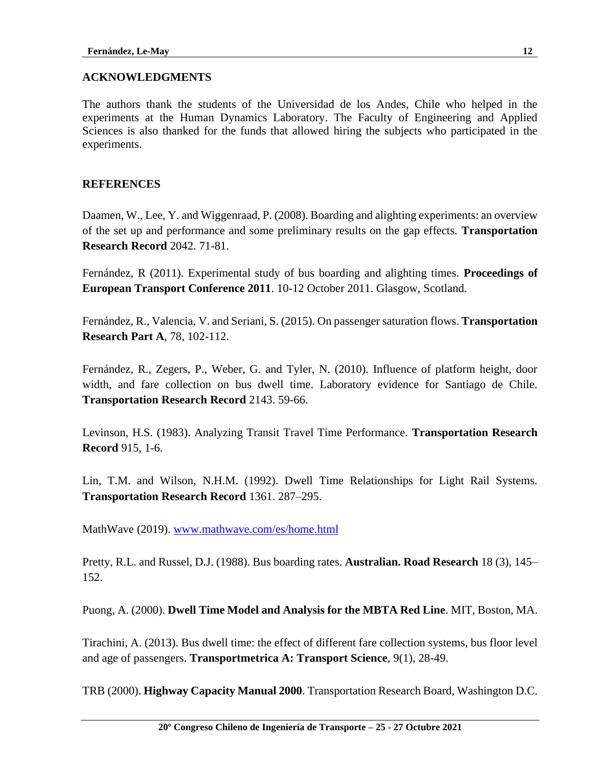### **ACKNOWLEDGMENTS**

The authors thank the students of the Universidad de los Andes, Chile who helped in the experiments at the Human Dynamics Laboratory. The Faculty of Engineering and Applied Sciences is also thanked for the funds that allowed hiring the subjects who participated in the experiments.

#### **REFERENCES**

Daamen, W., Lee, Y. and Wiggenraad, P. (2008). Boarding and alighting experiments: an overview of the set up and performance and some preliminary results on the gap effects. **Transportation Research Record** 2042. 71-81.

Fernández, R (2011). Experimental study of bus boarding and alighting times. **Proceedings of European Transport Conference 2011**. 10-12 October 2011. Glasgow, Scotland.

Fernández, R., Valencia, V. and Seriani, S. (2015). On passenger saturation flows. **Transportation Research Part A**, 78, 102-112.

Fernández, R., Zegers, P., Weber, G. and Tyler, N. (2010). Influence of platform height, door width, and fare collection on bus dwell time. Laboratory evidence for Santiago de Chile. **Transportation Research Record** 2143. 59-66.

Levinson, H.S. (1983). Analyzing Transit Travel Time Performance. **Transportation Research Record** 915, 1-6.

Lin, T.M. and Wilson, N.H.M. (1992). Dwell Time Relationships for Light Rail Systems. **Transportation Research Record** 1361. 287–295.

MathWave (2019). [www.mathwave.com/es/home.html](http://www.mathwave.com/es/home.html)

Pretty, R.L. and Russel, D.J. (1988). Bus boarding rates. **Australian. Road Research** 18 (3), 145– 152.

Puong, A. (2000). **Dwell Time Model and Analysis for the MBTA Red Line**. MIT, Boston, MA.

Tirachini, A. (2013). Bus dwell time: the effect of different fare collection systems, bus floor level and age of passengers. **Transportmetrica A: Transport Science**, 9(1), 28-49.

TRB (2000). **Highway Capacity Manual 2000**. Transportation Research Board, Washington D.C.